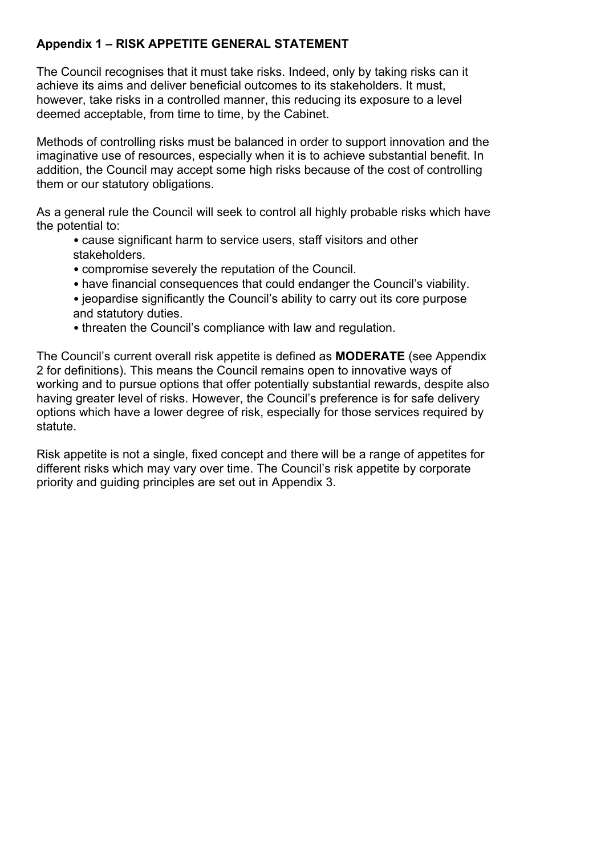## **Appendix 1 – RISK APPETITE GENERAL STATEMENT**

The Council recognises that it must take risks. Indeed, only by taking risks can it achieve its aims and deliver beneficial outcomes to its stakeholders. It must, however, take risks in a controlled manner, this reducing its exposure to a level deemed acceptable, from time to time, by the Cabinet.

Methods of controlling risks must be balanced in order to support innovation and the imaginative use of resources, especially when it is to achieve substantial benefit. In addition, the Council may accept some high risks because of the cost of controlling them or our statutory obligations.

As a general rule the Council will seek to control all highly probable risks which have the potential to:

- cause significant harm to service users, staff visitors and other stakeholders.
- compromise severely the reputation of the Council.
- have financial consequences that could endanger the Council's viability.
- jeopardise significantly the Council's ability to carry out its core purpose and statutory duties.
- threaten the Council's compliance with law and regulation.

The Council's current overall risk appetite is defined as **MODERATE** (see Appendix 2 for definitions). This means the Council remains open to innovative ways of working and to pursue options that offer potentially substantial rewards, despite also having greater level of risks. However, the Council's preference is for safe delivery options which have a lower degree of risk, especially for those services required by statute.

Risk appetite is not a single, fixed concept and there will be a range of appetites for different risks which may vary over time. The Council's risk appetite by corporate priority and guiding principles are set out in Appendix 3.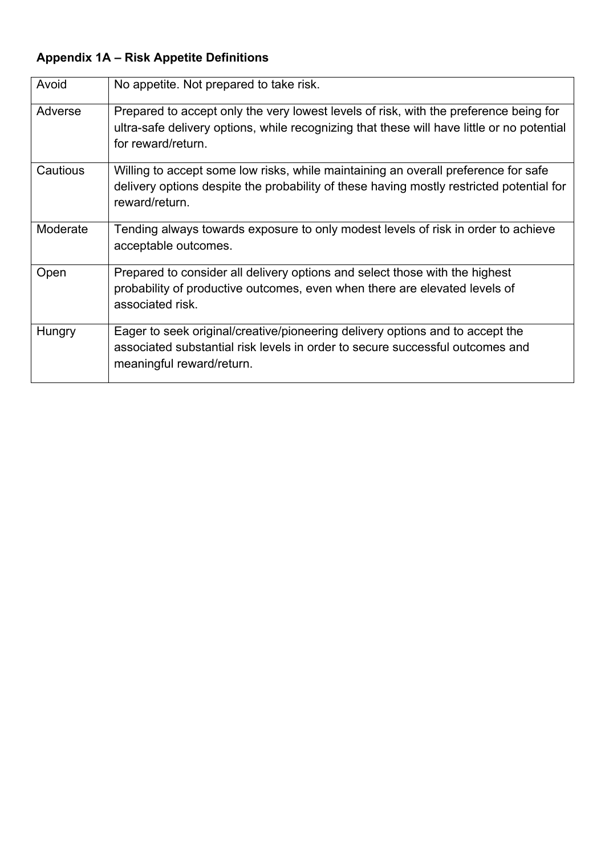## **Appendix 1A – Risk Appetite Definitions**

| Avoid    | No appetite. Not prepared to take risk.                                                                                                                                                                   |  |  |
|----------|-----------------------------------------------------------------------------------------------------------------------------------------------------------------------------------------------------------|--|--|
| Adverse  | Prepared to accept only the very lowest levels of risk, with the preference being for<br>ultra-safe delivery options, while recognizing that these will have little or no potential<br>for reward/return. |  |  |
| Cautious | Willing to accept some low risks, while maintaining an overall preference for safe<br>delivery options despite the probability of these having mostly restricted potential for<br>reward/return.          |  |  |
| Moderate | Tending always towards exposure to only modest levels of risk in order to achieve<br>acceptable outcomes.                                                                                                 |  |  |
| Open     | Prepared to consider all delivery options and select those with the highest<br>probability of productive outcomes, even when there are elevated levels of<br>associated risk.                             |  |  |
| Hungry   | Eager to seek original/creative/pioneering delivery options and to accept the<br>associated substantial risk levels in order to secure successful outcomes and<br>meaningful reward/return.               |  |  |